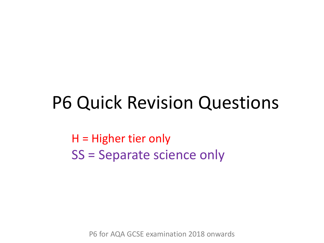## P6 Quick Revision Questions

H = Higher tier only SS = Separate science only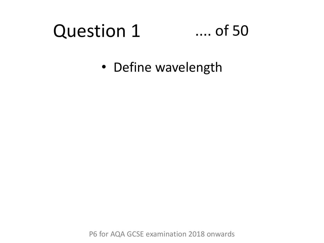## Question 1

### .... of 50

• Define wavelength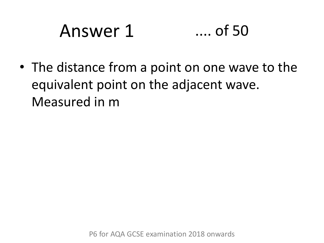# Answer 1 .... of 50

• The distance from a point on one wave to the equivalent point on the adjacent wave. Measured in m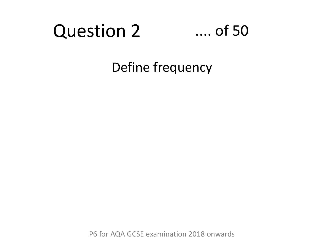### Question 2

#### .... of 50

Define frequency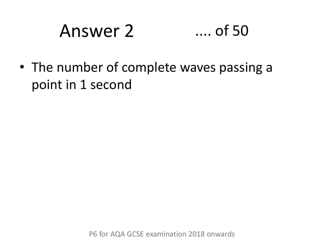# Answer 2 .... of 50

• The number of complete waves passing a point in 1 second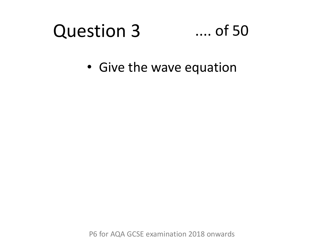#### Question 3 .... of 50

• Give the wave equation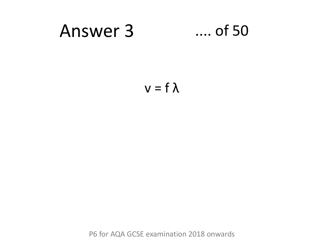## Answer 3 .... of 50

$$
v=f\,\lambda
$$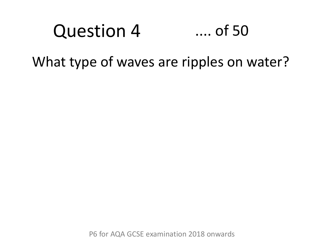### Question 4 .... of 50

What type of waves are ripples on water?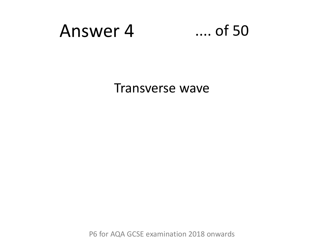### Answer 4 .... of 50

Transverse wave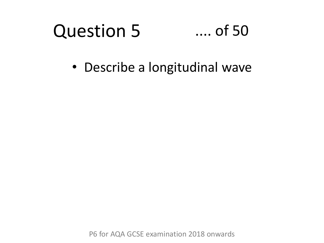#### Question 5 .... of 50

• Describe a longitudinal wave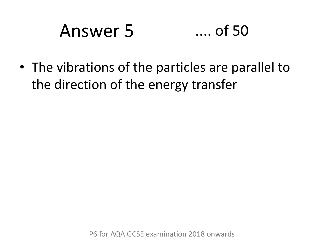# Answer 5 .... of 50

• The vibrations of the particles are parallel to the direction of the energy transfer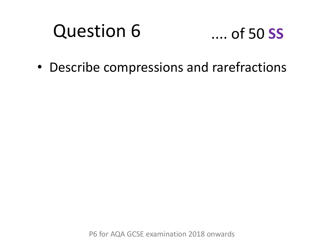### Question 6

### .... of 50 **SS**

• Describe compressions and rarefractions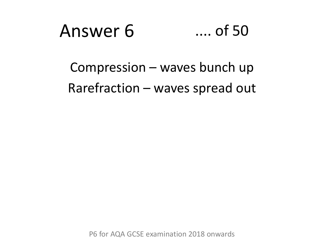

Compression – waves bunch up Rarefraction – waves spread out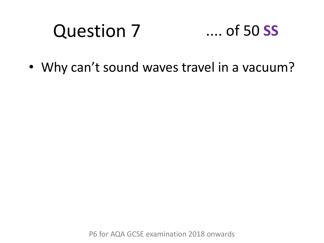#### Question 7 .... of 50 **SS**

• Why can't sound waves travel in a vacuum?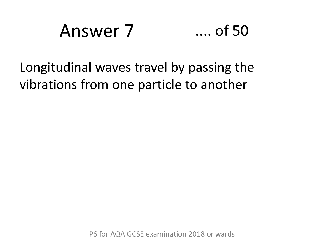# Answer 7 .... of 50

### Longitudinal waves travel by passing the vibrations from one particle to another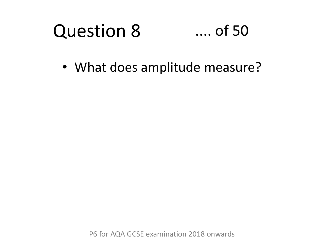#### Question 8 .... of 50

• What does amplitude measure?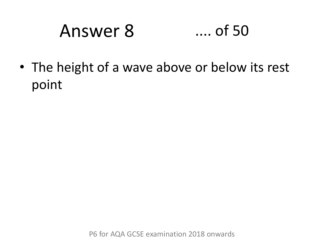# Answer 8 .... of 50

• The height of a wave above or below its rest point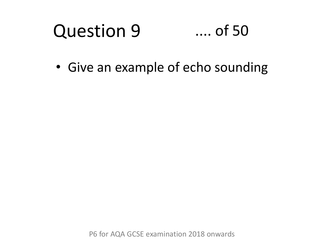#### Question 9 .... of 50

• Give an example of echo sounding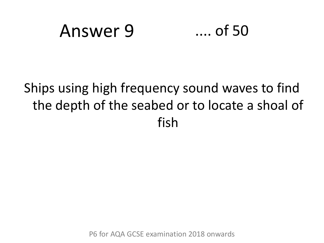## Answer 9 .... of 50

### Ships using high frequency sound waves to find the depth of the seabed or to locate a shoal of fish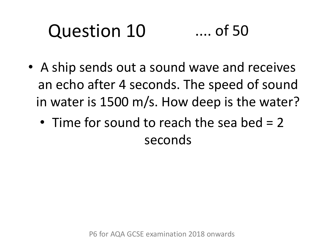#### Question 10 .... of 50

- A ship sends out a sound wave and receives an echo after 4 seconds. The speed of sound in water is 1500 m/s. How deep is the water?
	- Time for sound to reach the sea bed = 2 seconds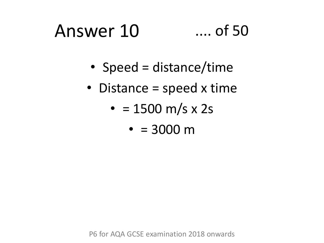# Answer 10 .... of 50

- Speed = distance/time
- Distance = speed x time
	- $= 1500 m/s x 2s$ 
		- $= 3000 \text{ m}$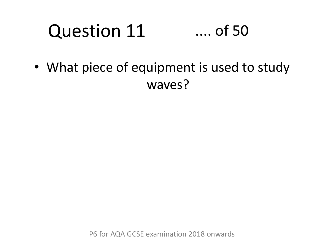#### Question 11 .... of 50

• What piece of equipment is used to study waves?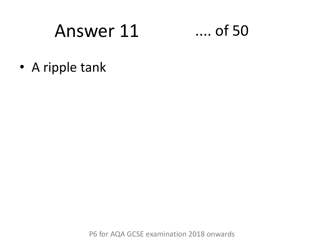## Answer 11 .... of 50

• A ripple tank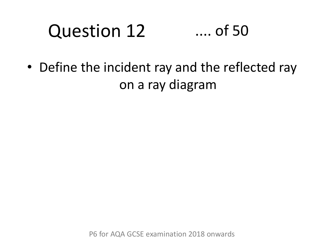#### Question 12 .... of 50

• Define the incident ray and the reflected ray on a ray diagram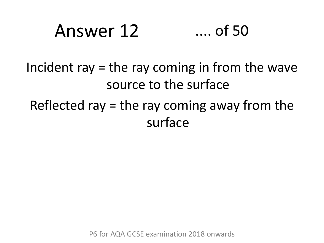# Answer 12 .... of 50

Incident ray  $=$  the ray coming in from the wave source to the surface

Reflected ray  $=$  the ray coming away from the surface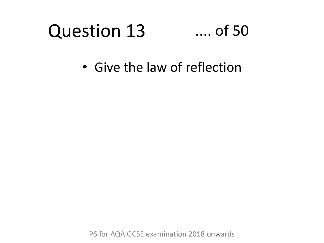#### Question 13 .... of 50

• Give the law of reflection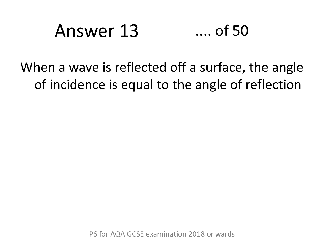# Answer 13 .... of 50

### When a wave is reflected off a surface, the angle of incidence is equal to the angle of reflection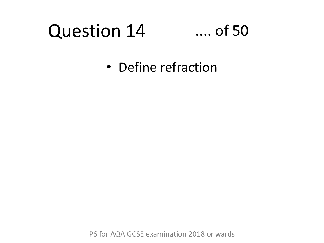# Question 14

### .... of 50

• Define refraction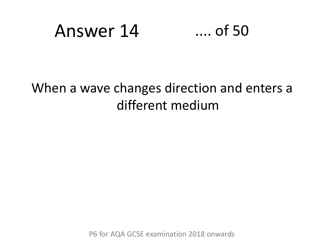## Answer 14 .... of 50

#### When a wave changes direction and enters a different medium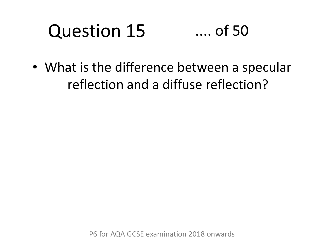#### Question 15 .... of 50

• What is the difference between a specular reflection and a diffuse reflection?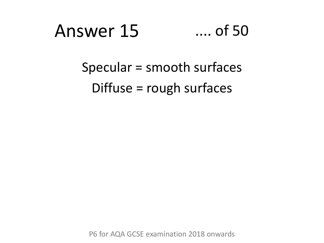# Answer 15 .... of 50

### Specular = smooth surfaces Diffuse = rough surfaces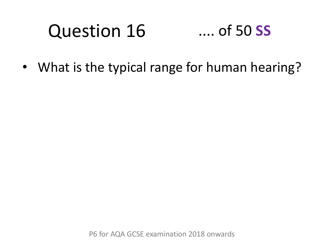#### Question 16 .... of 50 **SS**

• What is the typical range for human hearing?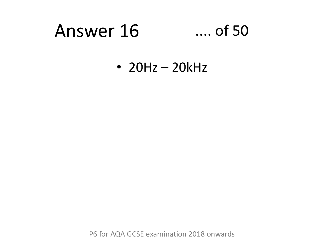## Answer 16 .... of 50

• 20Hz – 20kHz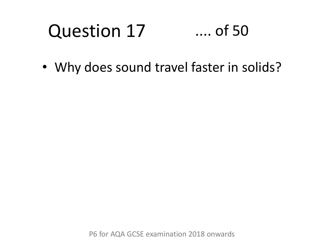#### Question 17 .... of 50

• Why does sound travel faster in solids?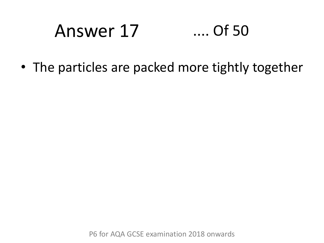# Answer 17 .... Of 50

• The particles are packed more tightly together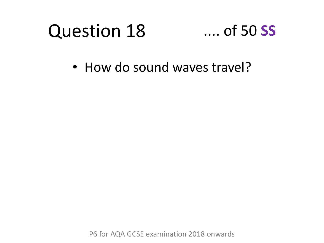# Question 18

### .... of 50 **SS**

• How do sound waves travel?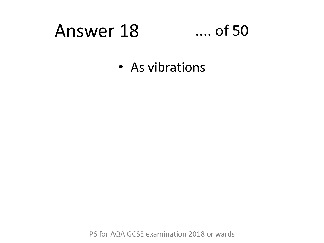### Answer 18 .... of 50

• As vibrations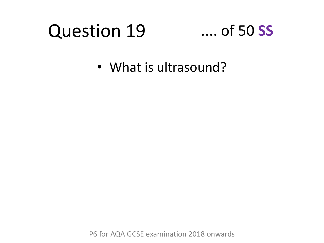### Question 19

### .... of 50 **SS**

• What is ultrasound?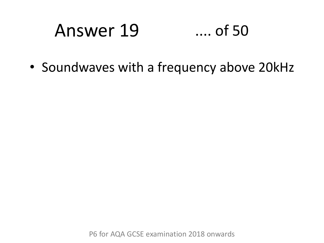### Answer 19 .... of 50

• Soundwaves with a frequency above 20kHz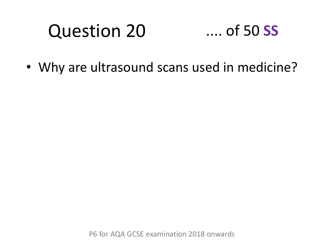### Question 20

### .... of 50 **SS**

• Why are ultrasound scans used in medicine?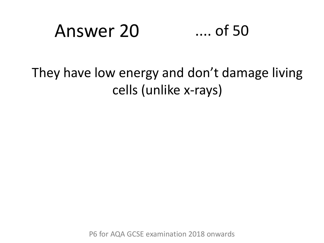### Answer 20 .... of 50

They have low energy and don't damage living cells (unlike x-rays)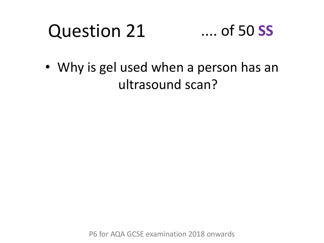#### Question 21 .... of 50 **SS**

• Why is gel used when a person has an ultrasound scan?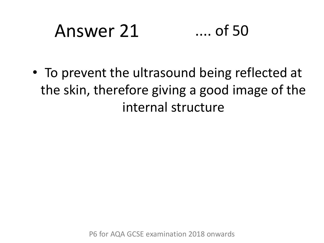# Answer 21 .... of 50

• To prevent the ultrasound being reflected at the skin, therefore giving a good image of the internal structure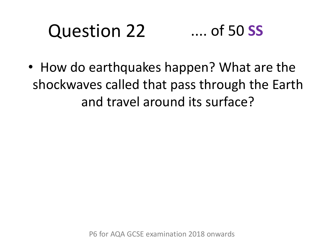#### Question 22 .... of 50 **SS**

• How do earthquakes happen? What are the shockwaves called that pass through the Earth and travel around its surface?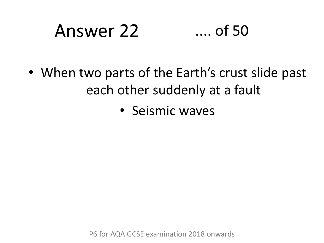# Answer 22 .... of 50

- When two parts of the Earth's crust slide past each other suddenly at a fault
	- Seismic waves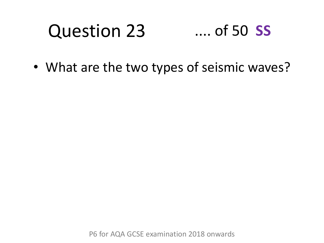#### Question 23 .... of 50 **SS**

• What are the two types of seismic waves?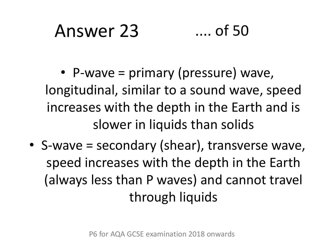# Answer 23 .... of 50

• P-wave = primary (pressure) wave, longitudinal, similar to a sound wave, speed increases with the depth in the Earth and is slower in liquids than solids

• S-wave = secondary (shear), transverse wave, speed increases with the depth in the Earth (always less than P waves) and cannot travel through liquids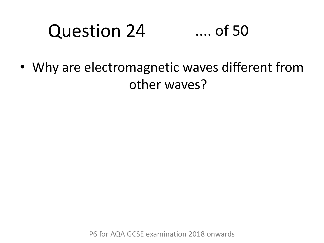#### Question 24 .... of 50

• Why are electromagnetic waves different from other waves?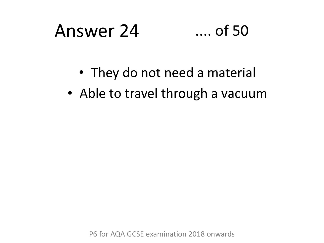# Answer 24 .... of 50

- They do not need a material
- Able to travel through a vacuum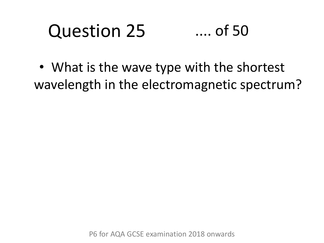#### Question 25 .... of 50

• What is the wave type with the shortest wavelength in the electromagnetic spectrum?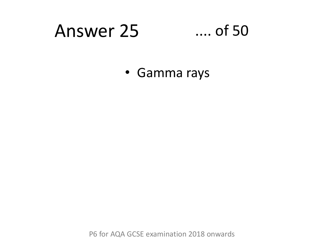### Answer 25 .... of 50

• Gamma rays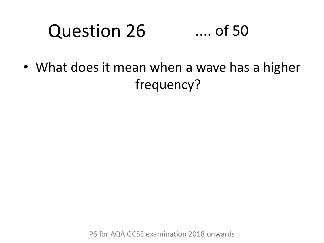#### Question 26 .... of 50

• What does it mean when a wave has a higher frequency?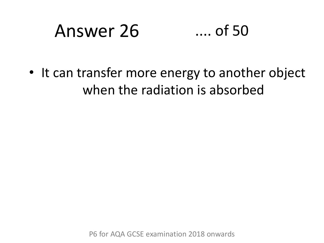# Answer 26 .... of 50

• It can transfer more energy to another object when the radiation is absorbed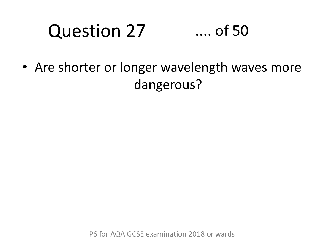#### Question 27 .... of 50

• Are shorter or longer wavelength waves more dangerous?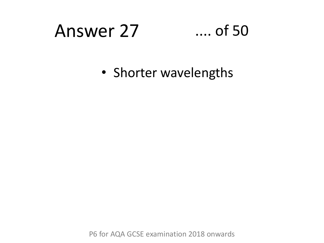## Answer 27 .... of 50

• Shorter wavelengths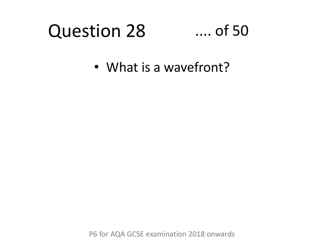#### Question 28 .... of 50

• What is a wavefront?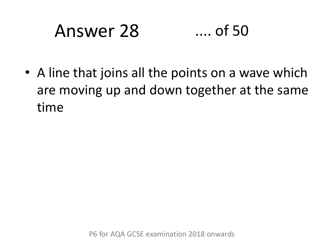# Answer 28 .... of 50

• A line that joins all the points on a wave which are moving up and down together at the same time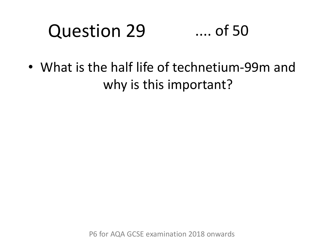#### Question 29 .... of 50

• What is the half life of technetium-99m and why is this important?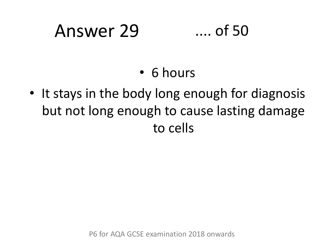# Answer 29 .... of 50

- 6 hours
- It stays in the body long enough for diagnosis but not long enough to cause lasting damage to cells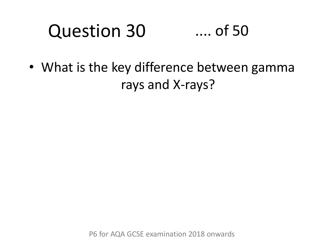#### Question 30 .... of 50

• What is the key difference between gamma rays and X-rays?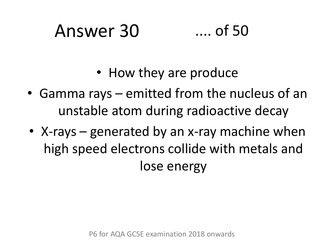### Answer 30 .... of 50



- How they are produce
- Gamma rays emitted from the nucleus of an unstable atom during radioactive decay
- X-rays generated by an x-ray machine when high speed electrons collide with metals and lose energy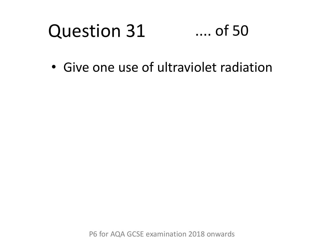#### Question 31 .... of 50

• Give one use of ultraviolet radiation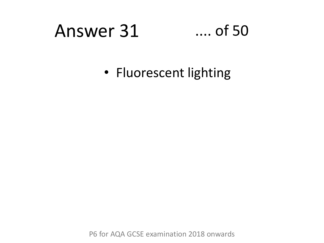### Answer 31 .... of 50

• Fluorescent lighting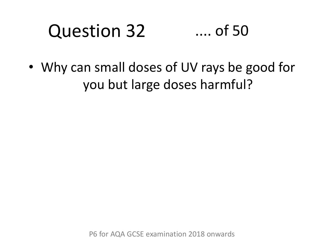#### Question 32 .... of 50

• Why can small doses of UV rays be good for you but large doses harmful?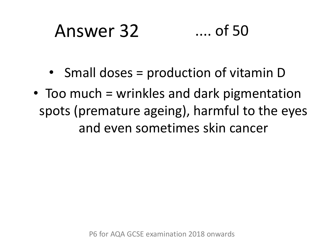# Answer 32 .... of 50

- Small doses = production of vitamin D
- Too much = wrinkles and dark pigmentation spots (premature ageing), harmful to the eyes and even sometimes skin cancer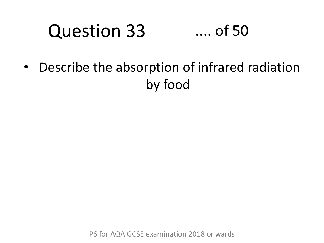#### Question 33 .... of 50

• Describe the absorption of infrared radiation by food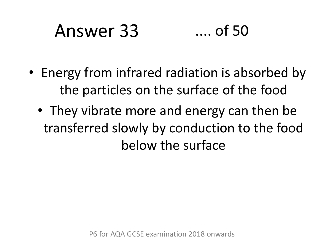# Answer 33 .... of 50

- Energy from infrared radiation is absorbed by the particles on the surface of the food
	- They vibrate more and energy can then be transferred slowly by conduction to the food below the surface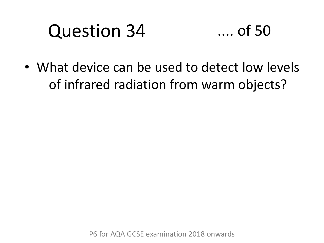### Question 34

• What device can be used to detect low levels of infrared radiation from warm objects?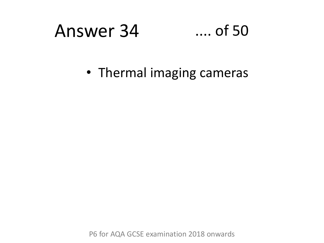## Answer 34 .... of 50

• Thermal imaging cameras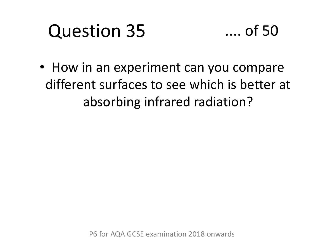### Question 35



• How in an experiment can you compare different surfaces to see which is better at absorbing infrared radiation?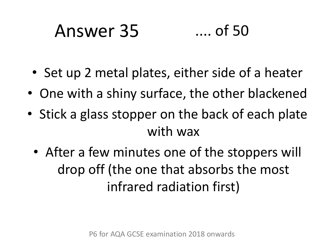# Answer 35 .... of 50

- Set up 2 metal plates, either side of a heater
- One with a shiny surface, the other blackened
- Stick a glass stopper on the back of each plate with wax
	- After a few minutes one of the stoppers will drop off (the one that absorbs the most infrared radiation first)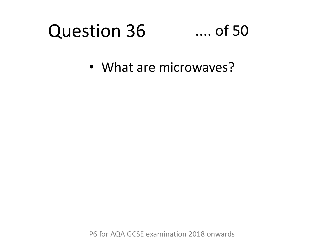### Question 36

### .... of 50

• What are microwaves?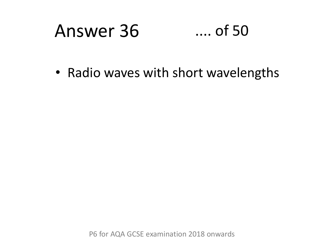# Answer 36 .... of 50

• Radio waves with short wavelengths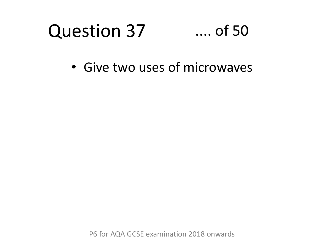### Question 37 .... of 50

• Give two uses of microwaves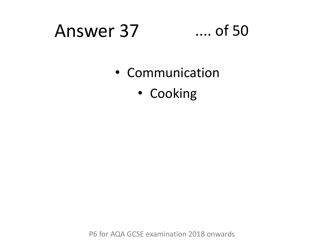## Answer 37 .... of 50

- Communication
	- Cooking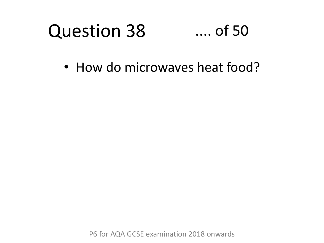### Question 38 .... of 50

• How do microwaves heat food?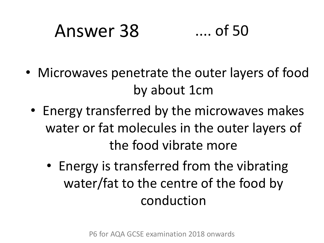# Answer 38 .... of 50

- Microwaves penetrate the outer layers of food by about 1cm
	- Energy transferred by the microwaves makes water or fat molecules in the outer layers of the food vibrate more
		- Energy is transferred from the vibrating water/fat to the centre of the food by conduction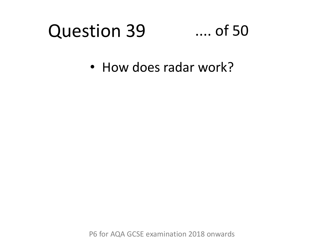### Question 39 .... of 50

• How does radar work?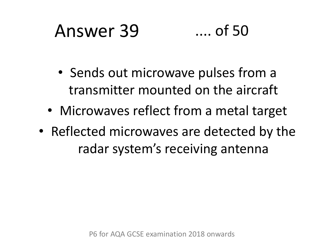# Answer 39 .... of 50

- Sends out microwave pulses from a transmitter mounted on the aircraft
- Microwaves reflect from a metal target
- Reflected microwaves are detected by the radar system's receiving antenna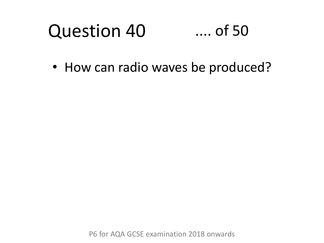### Question 40 .... of 50

• How can radio waves be produced?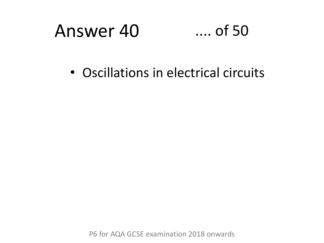# Answer 40 .... of 50

• Oscillations in electrical circuits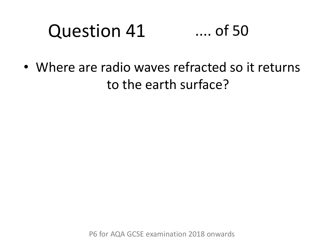### Question 41 .... of 50

• Where are radio waves refracted so it returns to the earth surface?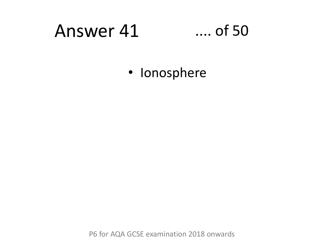# Answer 41 .... of 50

• Ionosphere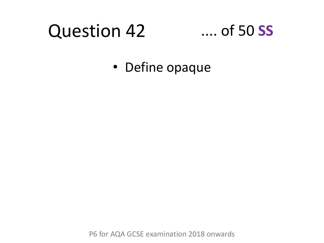# Question 42

### .... of 50 **SS**

• Define opaque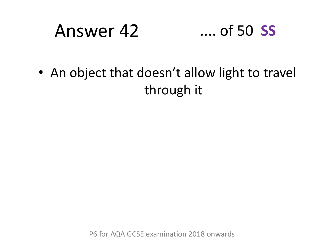# Answer 42 .... of 50 **SS**

• An object that doesn't allow light to travel through it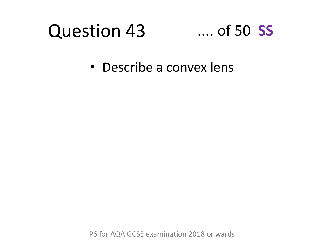### Question 43 .... of 50 **SS**

• Describe a convex lens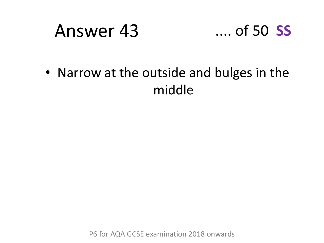### Answer 43 .... of 50 **SS**



• Narrow at the outside and bulges in the middle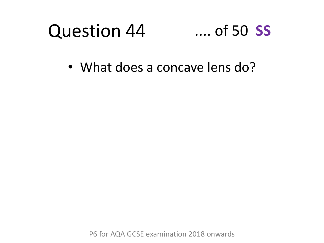

• What does a concave lens do?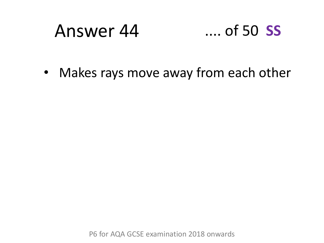# Answer 44 .... of 50 **SS**

• Makes rays move away from each other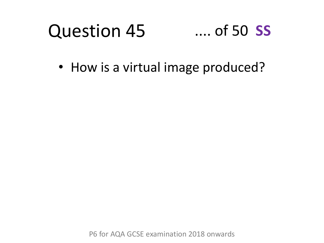### Question 45 .... of 50 **SS**

• How is a virtual image produced?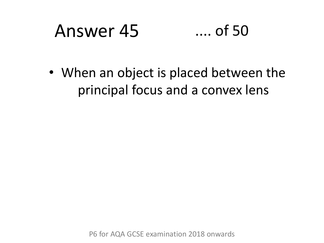# Answer 45 .... of 50

• When an object is placed between the principal focus and a convex lens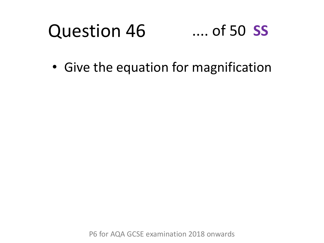### Question 46 .... of 50 **SS**

• Give the equation for magnification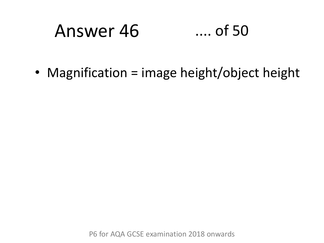# Answer 46 .... of 50

• Magnification = image height/object height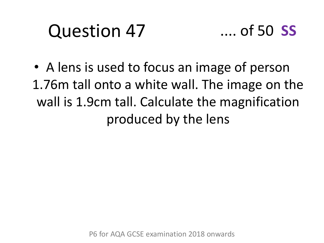# Question 47



• A lens is used to focus an image of person 1.76m tall onto a white wall. The image on the wall is 1.9cm tall. Calculate the magnification produced by the lens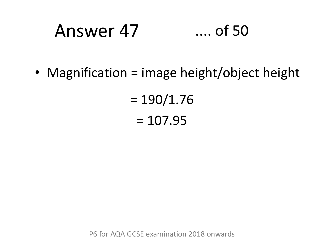# Answer 47 .... of 50

• Magnification = image height/object height

 $= 190/1.76$  $= 107.95$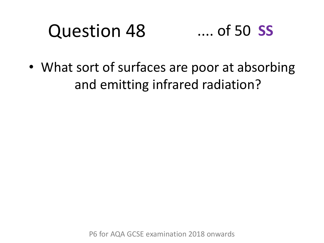### Question 48 .... of 50 **SS**

• What sort of surfaces are poor at absorbing and emitting infrared radiation?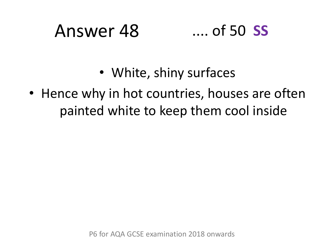# Answer 48 .... of 50 **SS**

- White, shiny surfaces
- Hence why in hot countries, houses are often painted white to keep them cool inside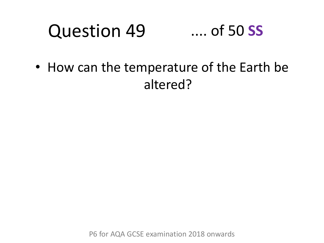### Question 49 .... of 50 **SS**

• How can the temperature of the Earth be altered?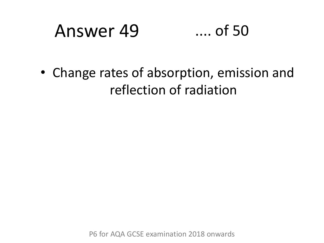# Answer 49 .... of 50

• Change rates of absorption, emission and reflection of radiation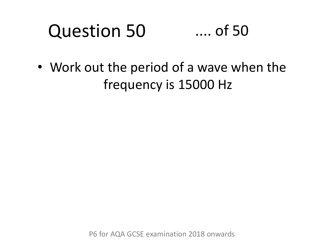### Question 50 .... of 50

• Work out the period of a wave when the frequency is 15000 Hz